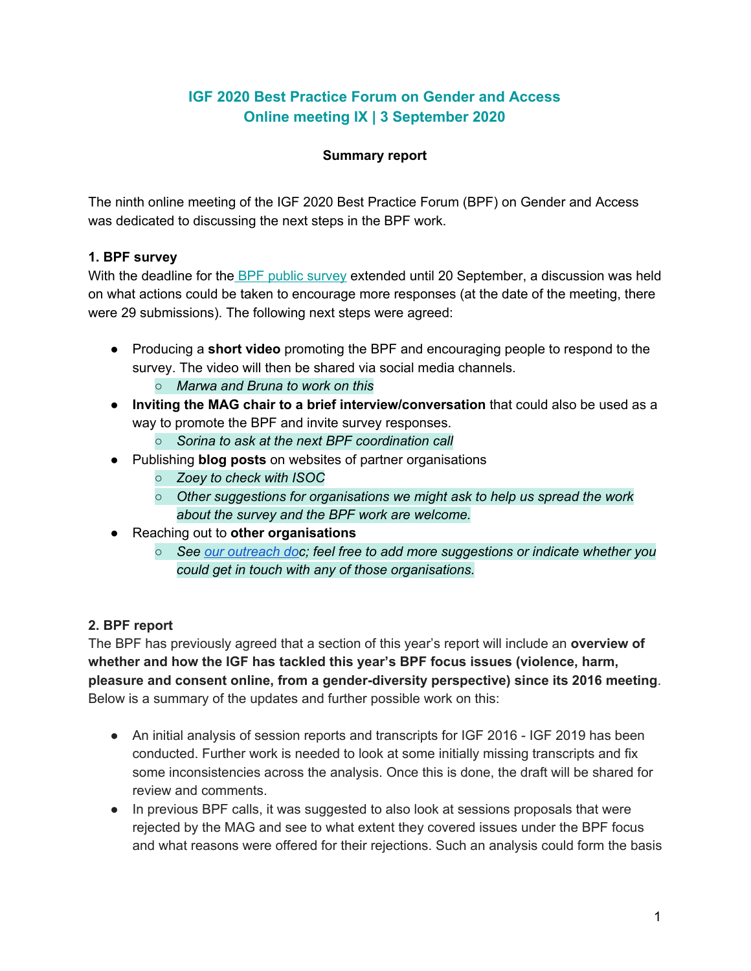# **IGF 2020 Best Practice Forum on Gender and Access Online meeting IX | 3 September 2020**

#### **Summary report**

The ninth online meeting of the IGF 2020 Best Practice Forum (BPF) on Gender and Access was dedicated to discussing the next steps in the BPF work.

### **1. BPF survey**

With the deadline for the BPF public [survey](https://www.intgovforum.org/multilingual/content/igf-2020-bpf-gender-public-survey) extended until 20 September, a discussion was held on what actions could be taken to encourage more responses (at the date of the meeting, there were 29 submissions). The following next steps were agreed:

- Producing a **short video** promoting the BPF and encouraging people to respond to the survey. The video will then be shared via social media channels.
	- *Marwa and Bruna to work on this*
- **Inviting the MAG chair to a brief interview/conversation** that could also be used as a way to promote the BPF and invite survey responses.
	- *Sorina to ask at the next BPF coordination call*
- Publishing **blog posts** on websites of partner organisations
	- *○ Zoey to check with ISOC*
	- *○ Other suggestions for organisations we might ask to help us spread the work about the survey and the BPF work are welcome.*
- Reaching out to **other organisations**
	- *○ See our [outreach](https://docs.google.com/document/d/1jhSbr8QOsfNbPtEb2psHMQBo6vetjcWLTCmR0oFHqGc/edit) doc; feel free to add more suggestions or indicate whether you could get in touch with any of those organisations.*

## **2. BPF report**

The BPF has previously agreed that a section of this year's report will include an **overview of whether and how the IGF has tackled this year's BPF focus issues (violence, harm, pleasure and consent online, from a gender-diversity perspective) since its 2016 meeting**. Below is a summary of the updates and further possible work on this:

- An initial analysis of session reports and transcripts for IGF 2016 IGF 2019 has been conducted. Further work is needed to look at some initially missing transcripts and fix some inconsistencies across the analysis. Once this is done, the draft will be shared for review and comments.
- In previous BPF calls, it was suggested to also look at sessions proposals that were rejected by the MAG and see to what extent they covered issues under the BPF focus and what reasons were offered for their rejections. Such an analysis could form the basis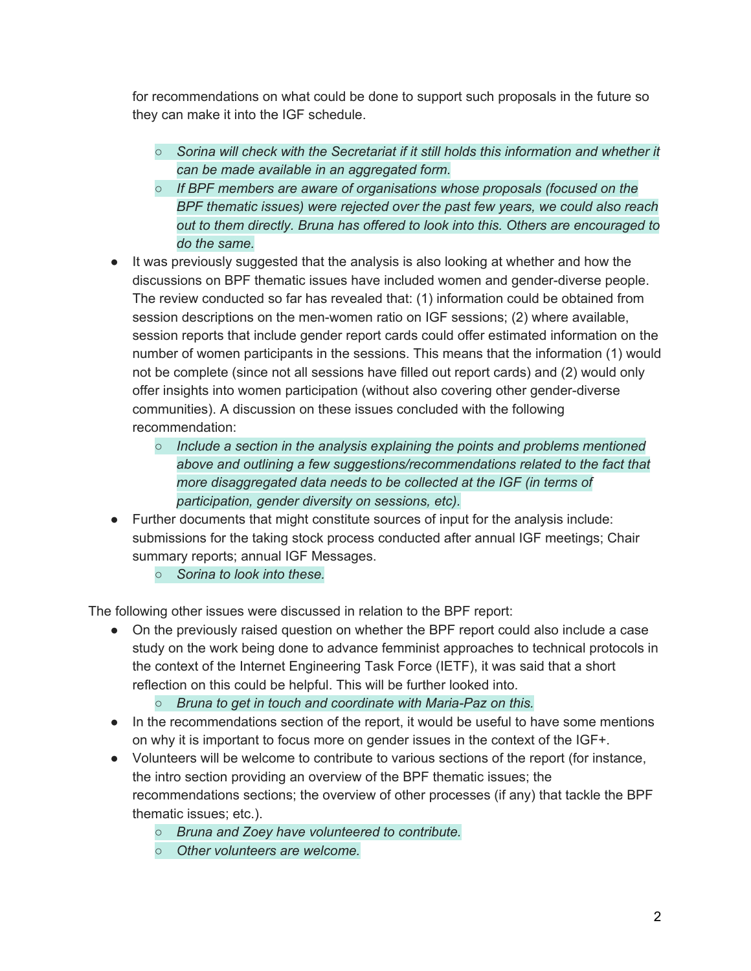for recommendations on what could be done to support such proposals in the future so they can make it into the IGF schedule.

- *○ Sorina will check with the Secretariat if it still holds this information and whether it can be made available in an aggregated form.*
- *○ If BPF members are aware of organisations whose proposals (focused on the BPF thematic issues) were rejected over the past few years, we could also reach out to them directly. Bruna has offered to look into this. Others are encouraged to do the same.*
- It was previously suggested that the analysis is also looking at whether and how the discussions on BPF thematic issues have included women and gender-diverse people. The review conducted so far has revealed that: (1) information could be obtained from session descriptions on the men-women ratio on IGF sessions; (2) where available, session reports that include gender report cards could offer estimated information on the number of women participants in the sessions. This means that the information (1) would not be complete (since not all sessions have filled out report cards) and (2) would only offer insights into women participation (without also covering other gender-diverse communities). A discussion on these issues concluded with the following recommendation:
	- *○ Include a section in the analysis explaining the points and problems mentioned above and outlining a few suggestions/recommendations related to the fact that more disaggregated data needs to be collected at the IGF (in terms of participation, gender diversity on sessions, etc).*
- Further documents that might constitute sources of input for the analysis include: submissions for the taking stock process conducted after annual IGF meetings; Chair summary reports; annual IGF Messages.
	- *○ Sorina to look into these.*

The following other issues were discussed in relation to the BPF report:

- On the previously raised question on whether the BPF report could also include a case study on the work being done to advance femminist approaches to technical protocols in the context of the Internet Engineering Task Force (IETF), it was said that a short reflection on this could be helpful. This will be further looked into.
	- *○ Bruna to get in touch and coordinate with Maria-Paz on this.*
- In the recommendations section of the report, it would be useful to have some mentions on why it is important to focus more on gender issues in the context of the IGF+.
- Volunteers will be welcome to contribute to various sections of the report (for instance, the intro section providing an overview of the BPF thematic issues; the recommendations sections; the overview of other processes (if any) that tackle the BPF thematic issues; etc.).
	- *○ Bruna and Zoey have volunteered to contribute.*
	- *○ Other volunteers are welcome.*